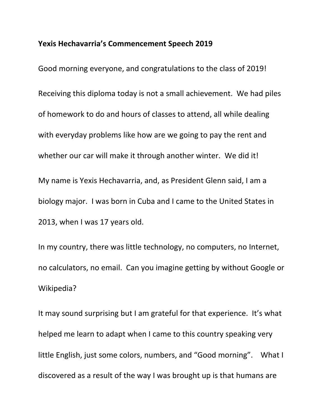## **Yexis Hechavarria's Commencement Speech 2019**

Good morning everyone, and congratulations to the class of 2019! Receiving this diploma today is not a small achievement. We had piles of homework to do and hours of classes to attend, all while dealing with everyday problems like how are we going to pay the rent and whether our car will make it through another winter. We did it! My name is Yexis Hechavarria, and, as President Glenn said, I am a biology major. I was born in Cuba and I came to the United States in 2013, when I was 17 years old.

In my country, there was little technology, no computers, no Internet, no calculators, no email. Can you imagine getting by without Google or Wikipedia?

It may sound surprising but I am grateful for that experience. It's what helped me learn to adapt when I came to this country speaking very little English, just some colors, numbers, and "Good morning". What I discovered as a result of the way I was brought up is that humans are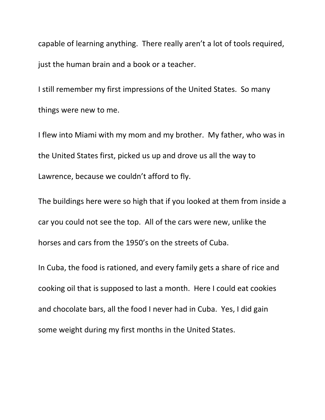capable of learning anything. There really aren't a lot of tools required, just the human brain and a book or a teacher.

I still remember my first impressions of the United States. So many things were new to me.

I flew into Miami with my mom and my brother. My father, who was in the United States first, picked us up and drove us all the way to Lawrence, because we couldn't afford to fly.

The buildings here were so high that if you looked at them from inside a car you could not see the top. All of the cars were new, unlike the horses and cars from the 1950's on the streets of Cuba.

In Cuba, the food is rationed, and every family gets a share of rice and cooking oil that is supposed to last a month. Here I could eat cookies and chocolate bars, all the food I never had in Cuba. Yes, I did gain some weight during my first months in the United States.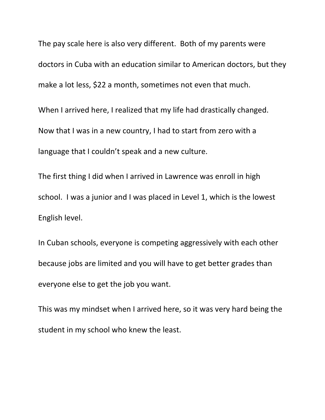The pay scale here is also very different. Both of my parents were doctors in Cuba with an education similar to American doctors, but they make a lot less, \$22 a month, sometimes not even that much.

When I arrived here, I realized that my life had drastically changed. Now that I was in a new country, I had to start from zero with a language that I couldn't speak and a new culture.

The first thing I did when I arrived in Lawrence was enroll in high school. I was a junior and I was placed in Level 1, which is the lowest English level.

In Cuban schools, everyone is competing aggressively with each other because jobs are limited and you will have to get better grades than everyone else to get the job you want.

This was my mindset when I arrived here, so it was very hard being the student in my school who knew the least.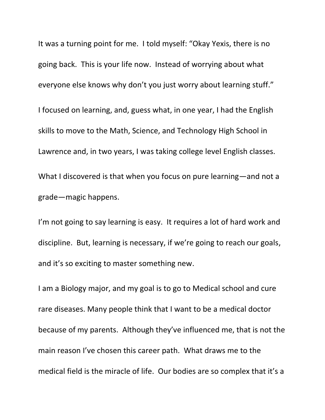It was a turning point for me. I told myself: "Okay Yexis, there is no going back. This is your life now. Instead of worrying about what everyone else knows why don't you just worry about learning stuff." I focused on learning, and, guess what, in one year, I had the English skills to move to the Math, Science, and Technology High School in Lawrence and, in two years, I was taking college level English classes. What I discovered is that when you focus on pure learning—and not a grade—magic happens.

I'm not going to say learning is easy. It requires a lot of hard work and discipline. But, learning is necessary, if we're going to reach our goals, and it's so exciting to master something new.

I am a Biology major, and my goal is to go to Medical school and cure rare diseases. Many people think that I want to be a medical doctor because of my parents. Although they've influenced me, that is not the main reason I've chosen this career path. What draws me to the medical field is the miracle of life. Our bodies are so complex that it's a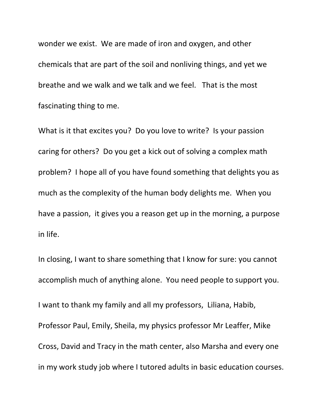wonder we exist. We are made of iron and oxygen, and other chemicals that are part of the soil and nonliving things, and yet we breathe and we walk and we talk and we feel. That is the most fascinating thing to me.

What is it that excites you? Do you love to write? Is your passion caring for others? Do you get a kick out of solving a complex math problem? I hope all of you have found something that delights you as much as the complexity of the human body delights me. When you have a passion, it gives you a reason get up in the morning, a purpose in life.

In closing, I want to share something that I know for sure: you cannot accomplish much of anything alone. You need people to support you. I want to thank my family and all my professors, Liliana, Habib, Professor Paul, Emily, Sheila, my physics professor Mr Leaffer, Mike Cross, David and Tracy in the math center, also Marsha and every one in my work study job where I tutored adults in basic education courses.